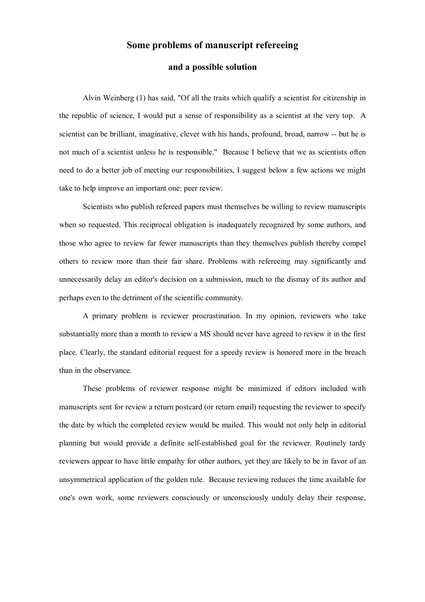## **Some problems of manuscript refereeing**

## **and a possible solution**

Alvin Weinberg (1) has said, "Of all the traits which qualify a scientist for citizenship in the republic of science, I would put a sense of responsibility as a scientist at the very top. A scientist can be brilliant, imaginative, clever with his hands, profound, broad, narrow -- but he is not much of a scientist unless he is responsible." Because I believe that we as scientists often need to do a better job of meeting our responsibilities, I suggest below a few actions we might take to help improve an important one: peer review.

Scientists who publish refereed papers must themselves be willing to review manuscripts when so requested. This reciprocal obligation is inadequately recognized by some authors, and those who agree to review far fewer manuscripts than they themselves publish thereby compel others to review more than their fair share. Problems with refereeing may significantly and unnecessarily delay an editor's decision on a submission, much to the dismay of its author and perhaps even to the detriment of the scientific community.

A primary problem is reviewer procrastination. In my opinion, reviewers who take substantially more than a month to review a MS should never have agreed to review it in the first place. Clearly, the standard editorial request for a speedy review is honored more in the breach than in the observance.

These problems of reviewer response might be minimized if editors included with manuscripts sent for review a return postcard (or return email) requesting the reviewer to specify the date by which the completed review would be mailed. This would not only help in editorial planning but would provide a definite selfestablished goal for the reviewer. Routinely tardy reviewers appear to have little empathy for other authors, yet they are likely to be in favor of an unsymmetrical application of the golden rule. Because reviewing reduces the time available for one's own work, some reviewers consciously or unconsciously unduly delay their response,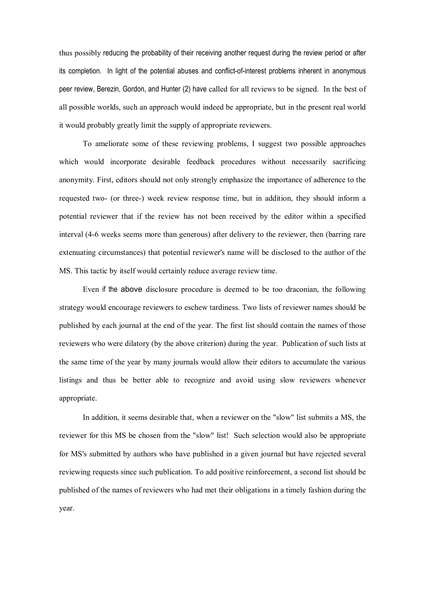thus possibly reducing the probability of their receiving another request during the review period or after its completion. In light of the potential abuses and conflict-of-interest problems inherent in anonymous peer review, Berezin, Gordon, and Hunter (2) have called for all reviews to be signed. In the best of all possible worlds, such an approach would indeed be appropriate, but in the present real world it would probably greatly limit the supply of appropriate reviewers.

To ameliorate some of these reviewing problems, I suggest two possible approaches which would incorporate desirable feedback procedures without necessarily sacrificing anonymity. First, editors should not only strongly emphasize the importance of adherence to the requested two- (or three-) week review response time, but in addition, they should inform a potential reviewer that if the review has not been received by the editor within a specified interval (46 weeks seems more than generous) after delivery to the reviewer, then (barring rare extenuating circumstances) that potential reviewer's name will be disclosed to the author of the MS. This tactic by itself would certainly reduce average review time.

Even if the above disclosure procedure is deemed to be too draconian, the following strategy would encourage reviewers to eschew tardiness. Two lists of reviewer names should be published by each journal at the end of the year. The first list should contain the names of those reviewers who were dilatory (by the above criterion) during the year. Publication of such lists at the same time of the year by many journals would allow their editors to accumulate the various listings and thus be better able to recognize and avoid using slow reviewers whenever appropriate.

In addition, it seems desirable that, when a reviewer on the "slow" list submits a MS, the reviewer for this MS be chosen from the "slow" list! Such selection would also be appropriate for MS's submitted by authors who have published in a given journal but have rejected several reviewing requests since such publication. To add positive reinforcement, a second list should be published of the names of reviewers who had met their obligations in a timely fashion during the year.